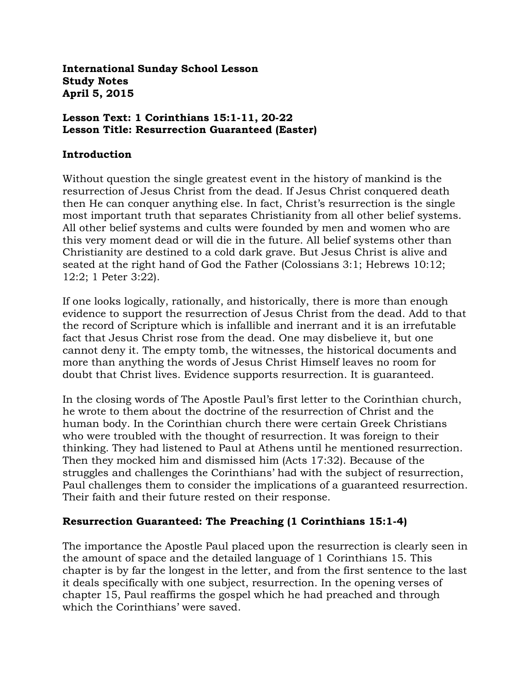**International Sunday School Lesson Study Notes April 5, 2015**

#### **Lesson Text: 1 Corinthians 15:1-11, 20-22 Lesson Title: Resurrection Guaranteed (Easter)**

#### **Introduction**

Without question the single greatest event in the history of mankind is the resurrection of Jesus Christ from the dead. If Jesus Christ conquered death then He can conquer anything else. In fact, Christ's resurrection is the single most important truth that separates Christianity from all other belief systems. All other belief systems and cults were founded by men and women who are this very moment dead or will die in the future. All belief systems other than Christianity are destined to a cold dark grave. But Jesus Christ is alive and seated at the right hand of God the Father (Colossians 3:1; Hebrews 10:12; 12:2; 1 Peter 3:22).

If one looks logically, rationally, and historically, there is more than enough evidence to support the resurrection of Jesus Christ from the dead. Add to that the record of Scripture which is infallible and inerrant and it is an irrefutable fact that Jesus Christ rose from the dead. One may disbelieve it, but one cannot deny it. The empty tomb, the witnesses, the historical documents and more than anything the words of Jesus Christ Himself leaves no room for doubt that Christ lives. Evidence supports resurrection. It is guaranteed.

In the closing words of The Apostle Paul's first letter to the Corinthian church, he wrote to them about the doctrine of the resurrection of Christ and the human body. In the Corinthian church there were certain Greek Christians who were troubled with the thought of resurrection. It was foreign to their thinking. They had listened to Paul at Athens until he mentioned resurrection. Then they mocked him and dismissed him (Acts 17:32). Because of the struggles and challenges the Corinthians' had with the subject of resurrection, Paul challenges them to consider the implications of a guaranteed resurrection. Their faith and their future rested on their response.

#### **Resurrection Guaranteed: The Preaching (1 Corinthians 15:1-4)**

The importance the Apostle Paul placed upon the resurrection is clearly seen in the amount of space and the detailed language of 1 Corinthians 15. This chapter is by far the longest in the letter, and from the first sentence to the last it deals specifically with one subject, resurrection. In the opening verses of chapter 15, Paul reaffirms the gospel which he had preached and through which the Corinthians' were saved.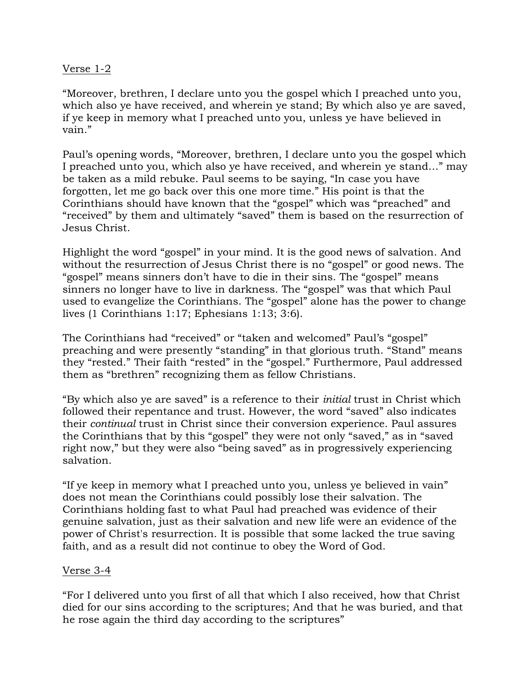#### Verse 1-2

"Moreover, brethren, I declare unto you the gospel which I preached unto you, which also ye have received, and wherein ye stand; By which also ye are saved, if ye keep in memory what I preached unto you, unless ye have believed in vain."

Paul's opening words, "Moreover, brethren, I declare unto you the gospel which I preached unto you, which also ye have received, and wherein ye stand…" may be taken as a mild rebuke. Paul seems to be saying, "In case you have forgotten, let me go back over this one more time." His point is that the Corinthians should have known that the "gospel" which was "preached" and "received" by them and ultimately "saved" them is based on the resurrection of Jesus Christ.

Highlight the word "gospel" in your mind. It is the good news of salvation. And without the resurrection of Jesus Christ there is no "gospel" or good news. The "gospel" means sinners don't have to die in their sins. The "gospel" means sinners no longer have to live in darkness. The "gospel" was that which Paul used to evangelize the Corinthians. The "gospel" alone has the power to change lives (1 Corinthians 1:17; Ephesians 1:13; 3:6).

The Corinthians had "received" or "taken and welcomed" Paul's "gospel" preaching and were presently "standing" in that glorious truth. "Stand" means they "rested." Their faith "rested" in the "gospel." Furthermore, Paul addressed them as "brethren" recognizing them as fellow Christians.

"By which also ye are saved" is a reference to their *initial* trust in Christ which followed their repentance and trust. However, the word "saved" also indicates their *continual* trust in Christ since their conversion experience. Paul assures the Corinthians that by this "gospel" they were not only "saved," as in "saved right now," but they were also "being saved" as in progressively experiencing salvation.

"If ye keep in memory what I preached unto you, unless ye believed in vain" does not mean the Corinthians could possibly lose their salvation. The Corinthians holding fast to what Paul had preached was evidence of their genuine salvation, just as their salvation and new life were an evidence of the power of Christ's resurrection. It is possible that some lacked the true saving faith, and as a result did not continue to obey the Word of God.

#### Verse 3-4

"For I delivered unto you first of all that which I also received, how that Christ died for our sins according to the scriptures; And that he was buried, and that he rose again the third day according to the scriptures"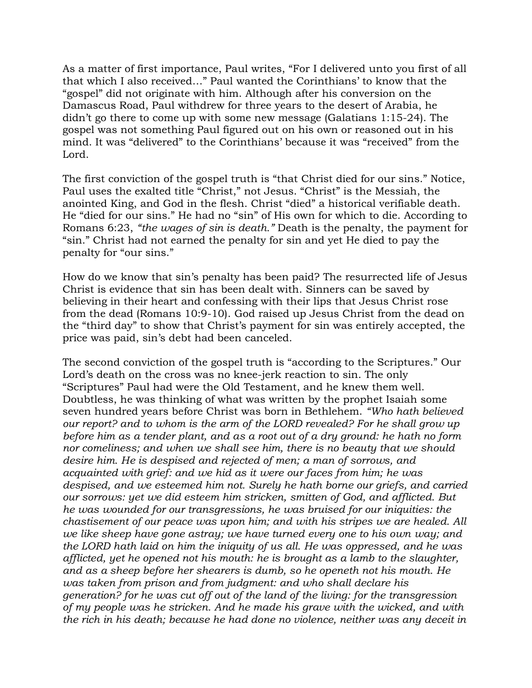As a matter of first importance, Paul writes, "For I delivered unto you first of all that which I also received…" Paul wanted the Corinthians' to know that the "gospel" did not originate with him. Although after his conversion on the Damascus Road, Paul withdrew for three years to the desert of Arabia, he didn't go there to come up with some new message (Galatians 1:15-24). The gospel was not something Paul figured out on his own or reasoned out in his mind. It was "delivered" to the Corinthians' because it was "received" from the Lord.

The first conviction of the gospel truth is "that Christ died for our sins." Notice, Paul uses the exalted title "Christ," not Jesus. "Christ" is the Messiah, the anointed King, and God in the flesh. Christ "died" a historical verifiable death. He "died for our sins." He had no "sin" of His own for which to die. According to Romans 6:23, *"the wages of sin is death."* Death is the penalty, the payment for "sin." Christ had not earned the penalty for sin and yet He died to pay the penalty for "our sins."

How do we know that sin's penalty has been paid? The resurrected life of Jesus Christ is evidence that sin has been dealt with. Sinners can be saved by believing in their heart and confessing with their lips that Jesus Christ rose from the dead (Romans 10:9-10). God raised up Jesus Christ from the dead on the "third day" to show that Christ's payment for sin was entirely accepted, the price was paid, sin's debt had been canceled.

The second conviction of the gospel truth is "according to the Scriptures." Our Lord's death on the cross was no knee-jerk reaction to sin. The only "Scriptures" Paul had were the Old Testament, and he knew them well. Doubtless, he was thinking of what was written by the prophet Isaiah some seven hundred years before Christ was born in Bethlehem. *"Who hath believed our report? and to whom is the arm of the LORD revealed? For he shall grow up before him as a tender plant, and as a root out of a dry ground: he hath no form nor comeliness; and when we shall see him, there is no beauty that we should desire him. He is despised and rejected of men; a man of sorrows, and acquainted with grief: and we hid as it were our faces from him; he was despised, and we esteemed him not. Surely he hath borne our griefs, and carried our sorrows: yet we did esteem him stricken, smitten of God, and afflicted. But he was wounded for our transgressions, he was bruised for our iniquities: the chastisement of our peace was upon him; and with his stripes we are healed. All we like sheep have gone astray; we have turned every one to his own way; and the LORD hath laid on him the iniquity of us all. He was oppressed, and he was afflicted, yet he opened not his mouth: he is brought as a lamb to the slaughter, and as a sheep before her shearers is dumb, so he openeth not his mouth. He was taken from prison and from judgment: and who shall declare his generation? for he was cut off out of the land of the living: for the transgression of my people was he stricken. And he made his grave with the wicked, and with the rich in his death; because he had done no violence, neither was any deceit in*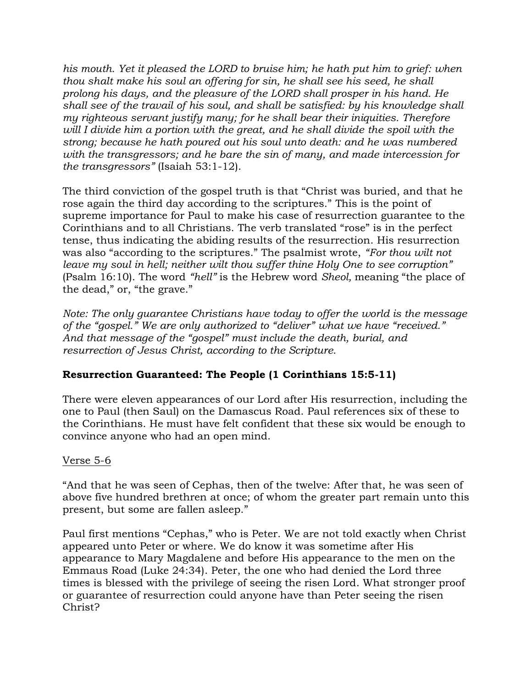his mouth. Yet it pleased the LORD to bruise him; he hath put him to grief: when *thou shalt make his soul an offering for sin, he shall see his seed, he shall prolong his days, and the pleasure of the LORD shall prosper in his hand. He shall see of the travail of his soul, and shall be satisfied: by his knowledge shall my righteous servant justify many; for he shall bear their iniquities. Therefore will I divide him a portion with the great, and he shall divide the spoil with the strong; because he hath poured out his soul unto death: and he was numbered with the transgressors; and he bare the sin of many, and made intercession for the transgressors"* (Isaiah 53:1-12).

The third conviction of the gospel truth is that "Christ was buried, and that he rose again the third day according to the scriptures." This is the point of supreme importance for Paul to make his case of resurrection guarantee to the Corinthians and to all Christians. The verb translated "rose" is in the perfect tense, thus indicating the abiding results of the resurrection. His resurrection was also "according to the scriptures." The psalmist wrote, *"For thou wilt not leave my soul in hell; neither wilt thou suffer thine Holy One to see corruption"* (Psalm 16:10). The word *"hell"* is the Hebrew word *Sheol,* meaning "the place of the dead," or, "the grave."

*Note: The only guarantee Christians have today to offer the world is the message of the "gospel." We are only authorized to "deliver" what we have "received." And that message of the "gospel" must include the death, burial, and resurrection of Jesus Christ, according to the Scripture.*

## **Resurrection Guaranteed: The People (1 Corinthians 15:5-11)**

There were eleven appearances of our Lord after His resurrection, including the one to Paul (then Saul) on the Damascus Road. Paul references six of these to the Corinthians. He must have felt confident that these six would be enough to convince anyone who had an open mind.

## Verse 5-6

"And that he was seen of Cephas, then of the twelve: After that, he was seen of above five hundred brethren at once; of whom the greater part remain unto this present, but some are fallen asleep."

Paul first mentions "Cephas," who is Peter. We are not told exactly when Christ appeared unto Peter or where. We do know it was sometime after His appearance to Mary Magdalene and before His appearance to the men on the Emmaus Road (Luke 24:34). Peter, the one who had denied the Lord three times is blessed with the privilege of seeing the risen Lord. What stronger proof or guarantee of resurrection could anyone have than Peter seeing the risen Christ?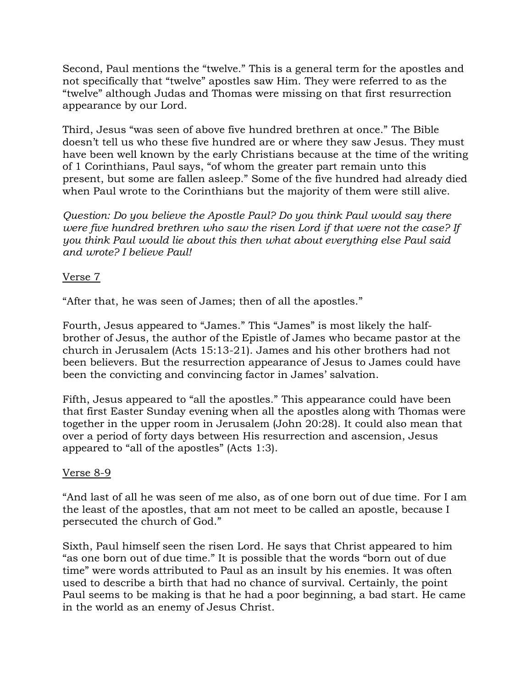Second, Paul mentions the "twelve." This is a general term for the apostles and not specifically that "twelve" apostles saw Him. They were referred to as the "twelve" although Judas and Thomas were missing on that first resurrection appearance by our Lord.

Third, Jesus "was seen of above five hundred brethren at once." The Bible doesn't tell us who these five hundred are or where they saw Jesus. They must have been well known by the early Christians because at the time of the writing of 1 Corinthians, Paul says, "of whom the greater part remain unto this present, but some are fallen asleep." Some of the five hundred had already died when Paul wrote to the Corinthians but the majority of them were still alive.

*Question: Do you believe the Apostle Paul? Do you think Paul would say there were five hundred brethren who saw the risen Lord if that were not the case? If you think Paul would lie about this then what about everything else Paul said and wrote? I believe Paul!*

## Verse 7

"After that, he was seen of James; then of all the apostles."

Fourth, Jesus appeared to "James." This "James" is most likely the halfbrother of Jesus, the author of the Epistle of James who became pastor at the church in Jerusalem (Acts 15:13-21). James and his other brothers had not been believers. But the resurrection appearance of Jesus to James could have been the convicting and convincing factor in James' salvation.

Fifth, Jesus appeared to "all the apostles." This appearance could have been that first Easter Sunday evening when all the apostles along with Thomas were together in the upper room in Jerusalem (John 20:28). It could also mean that over a period of forty days between His resurrection and ascension, Jesus appeared to "all of the apostles" (Acts 1:3).

## Verse 8-9

"And last of all he was seen of me also, as of one born out of due time. For I am the least of the apostles, that am not meet to be called an apostle, because I persecuted the church of God."

Sixth, Paul himself seen the risen Lord. He says that Christ appeared to him "as one born out of due time." It is possible that the words "born out of due time" were words attributed to Paul as an insult by his enemies. It was often used to describe a birth that had no chance of survival. Certainly, the point Paul seems to be making is that he had a poor beginning, a bad start. He came in the world as an enemy of Jesus Christ.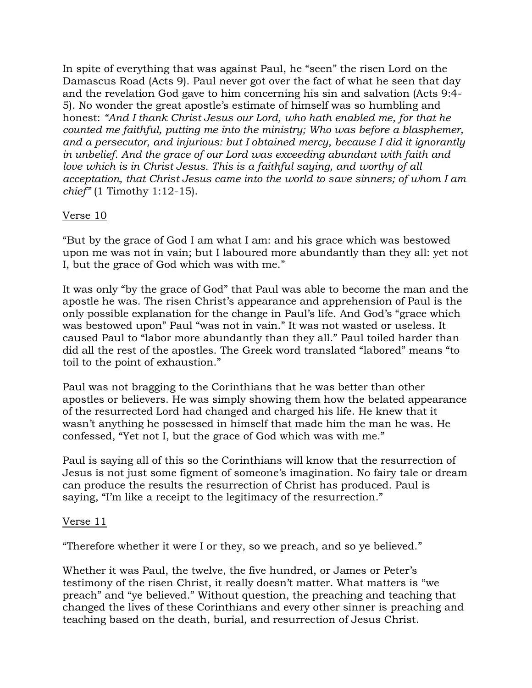In spite of everything that was against Paul, he "seen" the risen Lord on the Damascus Road (Acts 9). Paul never got over the fact of what he seen that day and the revelation God gave to him concerning his sin and salvation (Acts 9:4- 5). No wonder the great apostle's estimate of himself was so humbling and honest: *"And I thank Christ Jesus our Lord, who hath enabled me, for that he counted me faithful, putting me into the ministry; Who was before a blasphemer, and a persecutor, and injurious: but I obtained mercy, because I did it ignorantly in unbelief. And the grace of our Lord was exceeding abundant with faith and love which is in Christ Jesus. This is a faithful saying, and worthy of all acceptation, that Christ Jesus came into the world to save sinners; of whom I am chief"* (1 Timothy 1:12-15).

## Verse 10

"But by the grace of God I am what I am: and his grace which was bestowed upon me was not in vain; but I laboured more abundantly than they all: yet not I, but the grace of God which was with me."

It was only "by the grace of God" that Paul was able to become the man and the apostle he was. The risen Christ's appearance and apprehension of Paul is the only possible explanation for the change in Paul's life. And God's "grace which was bestowed upon" Paul "was not in vain." It was not wasted or useless. It caused Paul to "labor more abundantly than they all." Paul toiled harder than did all the rest of the apostles. The Greek word translated "labored" means "to toil to the point of exhaustion."

Paul was not bragging to the Corinthians that he was better than other apostles or believers. He was simply showing them how the belated appearance of the resurrected Lord had changed and charged his life. He knew that it wasn't anything he possessed in himself that made him the man he was. He confessed, "Yet not I, but the grace of God which was with me."

Paul is saying all of this so the Corinthians will know that the resurrection of Jesus is not just some figment of someone's imagination. No fairy tale or dream can produce the results the resurrection of Christ has produced. Paul is saying, "I'm like a receipt to the legitimacy of the resurrection."

#### Verse 11

"Therefore whether it were I or they, so we preach, and so ye believed."

Whether it was Paul, the twelve, the five hundred, or James or Peter's testimony of the risen Christ, it really doesn't matter. What matters is "we preach" and "ye believed." Without question, the preaching and teaching that changed the lives of these Corinthians and every other sinner is preaching and teaching based on the death, burial, and resurrection of Jesus Christ.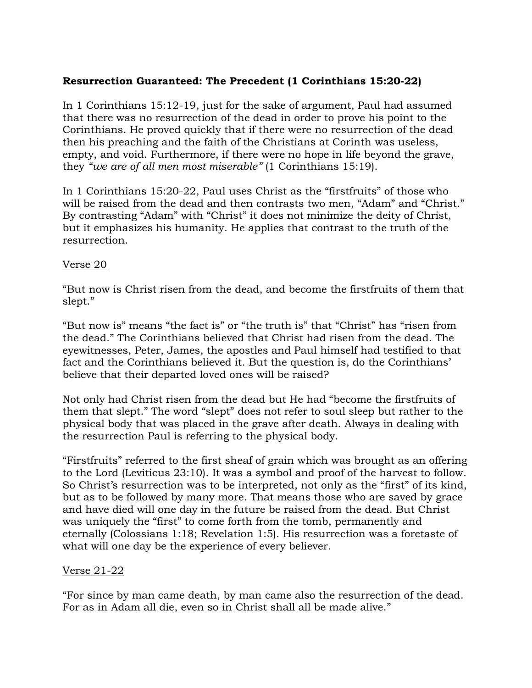# **Resurrection Guaranteed: The Precedent (1 Corinthians 15:20-22)**

In 1 Corinthians 15:12-19, just for the sake of argument, Paul had assumed that there was no resurrection of the dead in order to prove his point to the Corinthians. He proved quickly that if there were no resurrection of the dead then his preaching and the faith of the Christians at Corinth was useless, empty, and void. Furthermore, if there were no hope in life beyond the grave, they *"we are of all men most miserable"* (1 Corinthians 15:19).

In 1 Corinthians 15:20-22, Paul uses Christ as the "firstfruits" of those who will be raised from the dead and then contrasts two men, "Adam" and "Christ." By contrasting "Adam" with "Christ" it does not minimize the deity of Christ, but it emphasizes his humanity. He applies that contrast to the truth of the resurrection.

#### Verse 20

"But now is Christ risen from the dead, and become the firstfruits of them that slept."

"But now is" means "the fact is" or "the truth is" that "Christ" has "risen from the dead." The Corinthians believed that Christ had risen from the dead. The eyewitnesses, Peter, James, the apostles and Paul himself had testified to that fact and the Corinthians believed it. But the question is, do the Corinthians' believe that their departed loved ones will be raised?

Not only had Christ risen from the dead but He had "become the firstfruits of them that slept." The word "slept" does not refer to soul sleep but rather to the physical body that was placed in the grave after death. Always in dealing with the resurrection Paul is referring to the physical body.

"Firstfruits" referred to the first sheaf of grain which was brought as an offering to the Lord (Leviticus 23:10). It was a symbol and proof of the harvest to follow. So Christ's resurrection was to be interpreted, not only as the "first" of its kind, but as to be followed by many more. That means those who are saved by grace and have died will one day in the future be raised from the dead. But Christ was uniquely the "first" to come forth from the tomb, permanently and eternally (Colossians 1:18; Revelation 1:5). His resurrection was a foretaste of what will one day be the experience of every believer.

## Verse 21-22

"For since by man came death, by man came also the resurrection of the dead. For as in Adam all die, even so in Christ shall all be made alive."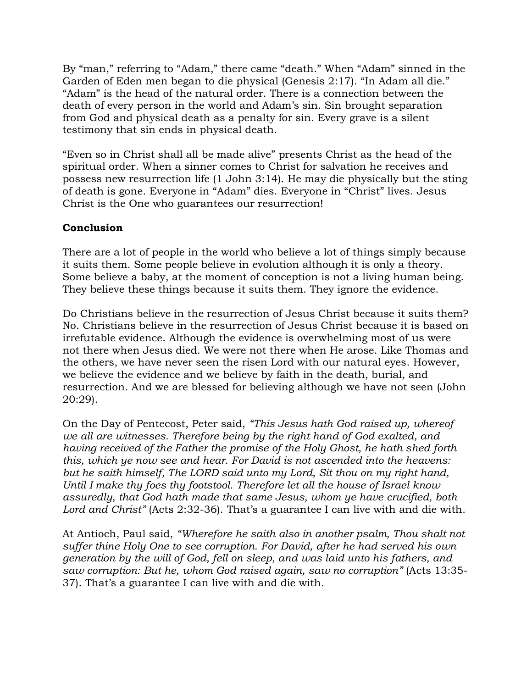By "man," referring to "Adam," there came "death." When "Adam" sinned in the Garden of Eden men began to die physical (Genesis 2:17). "In Adam all die." "Adam" is the head of the natural order. There is a connection between the death of every person in the world and Adam's sin. Sin brought separation from God and physical death as a penalty for sin. Every grave is a silent testimony that sin ends in physical death.

"Even so in Christ shall all be made alive" presents Christ as the head of the spiritual order. When a sinner comes to Christ for salvation he receives and possess new resurrection life (1 John 3:14). He may die physically but the sting of death is gone. Everyone in "Adam" dies. Everyone in "Christ" lives. Jesus Christ is the One who guarantees our resurrection!

# **Conclusion**

There are a lot of people in the world who believe a lot of things simply because it suits them. Some people believe in evolution although it is only a theory. Some believe a baby, at the moment of conception is not a living human being. They believe these things because it suits them. They ignore the evidence.

Do Christians believe in the resurrection of Jesus Christ because it suits them? No. Christians believe in the resurrection of Jesus Christ because it is based on irrefutable evidence. Although the evidence is overwhelming most of us were not there when Jesus died. We were not there when He arose. Like Thomas and the others, we have never seen the risen Lord with our natural eyes. However, we believe the evidence and we believe by faith in the death, burial, and resurrection. And we are blessed for believing although we have not seen (John 20:29).

On the Day of Pentecost, Peter said, *"This Jesus hath God raised up, whereof we all are witnesses. Therefore being by the right hand of God exalted, and having received of the Father the promise of the Holy Ghost, he hath shed forth this, which ye now see and hear. For David is not ascended into the heavens: but he saith himself, The LORD said unto my Lord, Sit thou on my right hand, Until I make thy foes thy footstool. Therefore let all the house of Israel know assuredly, that God hath made that same Jesus, whom ye have crucified, both Lord and Christ"* (Acts 2:32-36). That's a guarantee I can live with and die with.

At Antioch, Paul said, *"Wherefore he saith also in another psalm, Thou shalt not suffer thine Holy One to see corruption. For David, after he had served his own generation by the will of God, fell on sleep, and was laid unto his fathers, and saw corruption: But he, whom God raised again, saw no corruption"* (Acts 13:35- 37). That's a guarantee I can live with and die with.